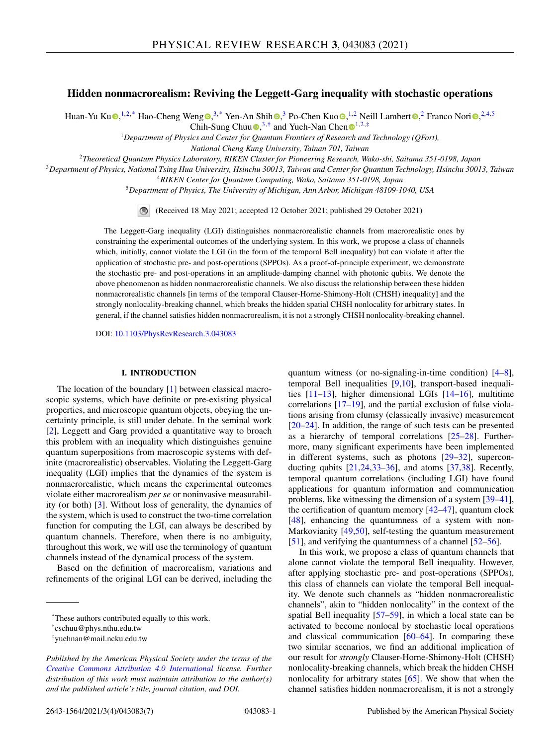# **Hidden nonmacrorealism: Reviving the Leggett-Garg inequality with stochastic operations**

Huan-Yu Ku $\Phi$  $\Phi$  $\Phi$ [,](https://orcid.org/0000-0003-3682-7432)<sup>1,2,\*</sup> Hao-Chen[g](https://orcid.org/0000-0003-0309-9416) Weng $\Phi$ ,<sup>3,\*</sup> Yen-An Shih $\Phi$ ,<sup>3</sup> Po-Chen Kuo $\Phi$ ,<sup>1,2</sup> Neill Lamber[t](https://orcid.org/0000-0001-7873-0773) $\Phi$ ,<sup>2</sup> Franco Nori $\Phi$ ,<sup>2,4,5</sup> Chih-Sung Chuu  $\bullet$ [,](https://orcid.org/0000-0001-7458-1096)<sup>3,†</sup> and Yueh-Nan Chen  $\bullet$ <sup>[1](https://orcid.org/0000-0002-2785-7675),2,‡</sup>

<sup>1</sup>*Department of Physics and Center for Quantum Frontiers of Research and Technology (QFort),*

*National Cheng Kung University, Tainan 701, Taiwan*

<sup>2</sup>*Theoretical Quantum Physics Laboratory, RIKEN Cluster for Pioneering Research, Wako-shi, Saitama 351-0198, Japan*

<sup>3</sup>*Department of Physics, National Tsing Hua University, Hsinchu 30013, Taiwan and Center for Quantum Technology, Hsinchu 30013, Taiwan*

<sup>4</sup>*RIKEN Center for Quantum Computing, Wako, Saitama 351-0198, Japan*

<sup>5</sup>*Department of Physics, The University of Michigan, Ann Arbor, Michigan 48109-1040, USA*

(Received 18 May 2021; accepted 12 October 2021; published 29 October 2021)

The Leggett-Garg inequality (LGI) distinguishes nonmacrorealistic channels from macrorealistic ones by constraining the experimental outcomes of the underlying system. In this work, we propose a class of channels which, initially, cannot violate the LGI (in the form of the temporal Bell inequality) but can violate it after the application of stochastic pre- and post-operations (SPPOs). As a proof-of-principle experiment, we demonstrate the stochastic pre- and post-operations in an amplitude-damping channel with photonic qubits. We denote the above phenomenon as hidden nonmacrorealistic channels. We also discuss the relationship between these hidden nonmacrorealistic channels [in terms of the temporal Clauser-Horne-Shimony-Holt (CHSH) inequality] and the strongly nonlocality-breaking channel, which breaks the hidden spatial CHSH nonlocality for arbitrary states. In general, if the channel satisfies hidden nonmacrorealism, it is not a strongly CHSH nonlocality-breaking channel.

DOI: [10.1103/PhysRevResearch.3.043083](https://doi.org/10.1103/PhysRevResearch.3.043083)

## **I. INTRODUCTION**

The location of the boundary [\[1\]](#page-4-0) between classical macroscopic systems, which have definite or pre-existing physical properties, and microscopic quantum objects, obeying the uncertainty principle, is still under debate. In the seminal work [\[2\]](#page-4-0), Leggett and Garg provided a quantitative way to broach this problem with an inequality which distinguishes genuine quantum superpositions from macroscopic systems with definite (macrorealistic) observables. Violating the Leggett-Garg inequality (LGI) implies that the dynamics of the system is nonmacrorealistic, which means the experimental outcomes violate either macrorealism *per se* or noninvasive measurability (or both) [\[3\]](#page-4-0). Without loss of generality, the dynamics of the system, which is used to construct the two-time correlation function for computing the LGI, can always be described by quantum channels. Therefore, when there is no ambiguity, throughout this work, we will use the terminology of quantum channels instead of the dynamical process of the system.

Based on the definition of macrorealism, variations and refinements of the original LGI can be derived, including the quantum witness (or no-signaling-in-time condition) [\[4–8\]](#page-4-0), temporal Bell inequalities [\[9,10\]](#page-4-0), transport-based inequalities [\[11–13\]](#page-4-0), higher dimensional LGIs [\[14–16\]](#page-4-0), multitime correlations [\[17–19\]](#page-4-0), and the partial exclusion of false violations arising from clumsy (classically invasive) measurement [\[20](#page-4-0)[–24\]](#page-5-0). In addition, the range of such tests can be presented as a hierarchy of temporal correlations [\[25–28\]](#page-5-0). Furthermore, many significant experiments have been implemented in different systems, such as photons [\[29–32\]](#page-5-0), superconducting qubits  $[21,24,33-36]$  $[21,24,33-36]$ , and atoms  $[37,38]$ . Recently, temporal quantum correlations (including LGI) have found applications for quantum information and communication problems, like witnessing the dimension of a system [\[39–41\]](#page-5-0), the certification of quantum memory [\[42–47\]](#page-5-0), quantum clock [\[48\]](#page-5-0), enhancing the quantumness of a system with non-Markovianity [\[49,50\]](#page-5-0), self-testing the quantum measurement [\[51\]](#page-5-0), and verifying the quantumness of a channel [\[52–56\]](#page-5-0).

In this work, we propose a class of quantum channels that alone cannot violate the temporal Bell inequality. However, after applying stochastic pre- and post-operations (SPPOs), this class of channels can violate the temporal Bell inequality. We denote such channels as "hidden nonmacrorealistic channels", akin to "hidden nonlocality" in the context of the spatial Bell inequality [\[57](#page-5-0)[–59\]](#page-6-0), in which a local state can be activated to become nonlocal by stochastic local operations and classical communication [\[60–64\]](#page-6-0). In comparing these two similar scenarios, we find an additional implication of our result for *strongly* Clauser-Horne-Shimony-Holt (CHSH) nonlocality-breaking channels, which break the hidden CHSH nonlocality for arbitrary states [\[65\]](#page-6-0). We show that when the channel satisfies hidden nonmacrorealism, it is not a strongly

<sup>\*</sup>These authors contributed equally to this work.

<sup>†</sup>cschuu@phys.nthu.edu.tw

<sup>‡</sup>yuehnan@mail.ncku.edu.tw

*Published by the American Physical Society under the terms of the [Creative Commons Attribution 4.0 International](https://creativecommons.org/licenses/by/4.0/) license. Further distribution of this work must maintain attribution to the author(s) and the published article's title, journal citation, and DOI.*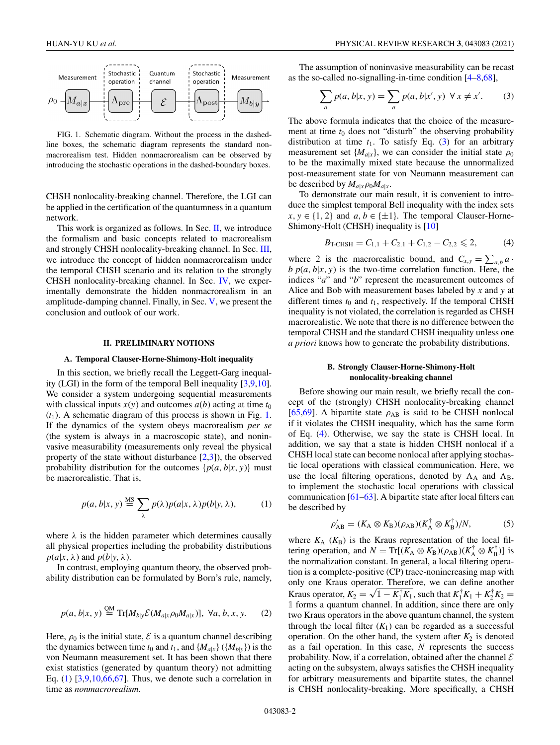<span id="page-1-0"></span>

FIG. 1. Schematic diagram. Without the process in the dashedline boxes, the schematic diagram represents the standard nonmacrorealism test. Hidden nonmacrorealism can be observed by introducing the stochastic operations in the dashed-boundary boxes.

CHSH nonlocality-breaking channel. Therefore, the LGI can be applied in the certification of the quantumness in a quantum network.

This work is organized as follows. In Sec. II, we introduce the formalism and basic concepts related to macrorealism and strongly CHSH nonlocality-breaking channel. In Sec. [III,](#page-2-0) we introduce the concept of hidden nonmacrorealism under the temporal CHSH scenario and its relation to the strongly CHSH nonlocality-breaking channel. In Sec. [IV,](#page-2-0) we experimentally demonstrate the hidden nonmacrorealism in an amplitude-damping channel. Finally, in Sec. [V,](#page-3-0) we present the conclusion and outlook of our work.

#### **II. PRELIMINARY NOTIONS**

#### **A. Temporal Clauser-Horne-Shimony-Holt inequality**

In this section, we briefly recall the Leggett-Garg inequality (LGI) in the form of the temporal Bell inequality [\[3,9,10\]](#page-4-0). We consider a system undergoing sequential measurements with classical inputs  $x(y)$  and outcomes  $a(b)$  acting at time  $t_0$  $(t_1)$ . A schematic diagram of this process is shown in Fig. 1. If the dynamics of the system obeys macrorealism *per se* (the system is always in a macroscopic state), and noninvasive measurability (measurements only reveal the physical property of the state without disturbance  $[2,3]$ ), the observed probability distribution for the outcomes  $\{p(a, b|x, y)\}\$  must be macrorealistic. That is,

$$
p(a, b|x, y) \stackrel{\text{MS}}{=} \sum_{\lambda} p(\lambda) p(a|x, \lambda) p(b|y, \lambda), \quad (1)
$$

where  $\lambda$  is the hidden parameter which determines causally all physical properties including the probability distributions  $p(a|x, \lambda)$  and  $p(b|y, \lambda)$ .

In contrast, employing quantum theory, the observed probability distribution can be formulated by Born's rule, namely,

$$
p(a, b|x, y) \stackrel{\text{QM}}{=} \text{Tr}[M_{b|y} \mathcal{E}(M_{a|x} \rho_0 M_{a|x})], \ \forall a, b, x, y. \tag{2}
$$

Here,  $\rho_0$  is the initial state,  $\mathcal E$  is a quantum channel describing the dynamics between time  $t_0$  and  $t_1$ , and  $\{M_{a|x}\}\left(\{M_{b|y}\}\right)$  is the von Neumann measurement set. It has been shown that there exist statistics (generated by quantum theory) not admitting Eq.  $(1)$   $[3,9,10,66,67]$  $[3,9,10,66,67]$ . Thus, we denote such a correlation in time as *nonmacrorealism*.

The assumption of noninvasive measurability can be recast as the so-called no-signalling-in-time condition [\[4–8,](#page-4-0)[68\]](#page-6-0),

$$
\sum_{a} p(a, b|x, y) = \sum_{a} p(a, b|x', y) \quad \forall x \neq x'.
$$
 (3)

The above formula indicates that the choice of the measurement at time  $t_0$  does not "disturb" the observing probability distribution at time  $t_1$ . To satisfy Eq. (3) for an arbitrary measurement set  $\{M_{a|x}\}\$ , we can consider the initial state  $\rho_0$ to be the maximally mixed state because the unnormalized post-measurement state for von Neumann measurement can be described by  $M_{a|x}\rho_0M_{a|x}$ .

To demonstrate our main result, it is convenient to introduce the simplest temporal Bell inequality with the index sets *x*, *y* ∈ {1, 2} and *a*, *b* ∈ { $±1$ }. The temporal Clauser-Horne-Shimony-Holt (CHSH) inequality is [\[10\]](#page-4-0)

$$
B_{\text{T-CHSH}} = C_{1,1} + C_{2,1} + C_{1,2} - C_{2,2} \leq 2, \tag{4}
$$

where 2 is the macrorealistic bound, and  $C_{x,y} = \sum_{a,b} a \cdot$  $b$   $p(a, b|x, y)$  is the two-time correlation function. Here, the indices "*a*" and "*b*" represent the measurement outcomes of Alice and Bob with measurement bases labeled by *x* and *y* at different times  $t_0$  and  $t_1$ , respectively. If the temporal CHSH inequality is not violated, the correlation is regarded as CHSH macrorealistic. We note that there is no difference between the temporal CHSH and the standard CHSH inequality unless one *a priori* knows how to generate the probability distributions.

## **B. Strongly Clauser-Horne-Shimony-Holt nonlocality-breaking channel**

Before showing our main result, we briefly recall the concept of the (strongly) CHSH nonlocality-breaking channel [\[65,69\]](#page-6-0). A bipartite state  $\rho_{AB}$  is said to be CHSH nonlocal if it violates the CHSH inequality, which has the same form of Eq. (4). Otherwise, we say the state is CHSH local. In addition, we say that a state is hidden CHSH nonlocal if a CHSH local state can become nonlocal after applying stochastic local operations with classical communication. Here, we use the local filtering operations, denoted by  $\Lambda_A$  and  $\Lambda_B$ , to implement the stochastic local operations with classical communication [\[61–63\]](#page-6-0). A bipartite state after local filters can be described by

$$
\rho'_{AB} = (K_A \otimes K_B)(\rho_{AB})(K_A^{\dagger} \otimes K_B^{\dagger})/N, \tag{5}
$$

where  $K_A$  ( $K_B$ ) is the Kraus representation of the local filtering operation, and  $N = \text{Tr}[(\hat{K}_A \otimes K_B)(\rho_{AB})(K_A^{\dagger} \otimes K_B^{\dagger})]$  is the normalization constant. In general, a local filtering operation is a complete-positive (CP) trace-nonincreasing map with only one Kraus operator. Therefore, we can define another Kraus operator,  $K_2 = \sqrt{1 - K_1^{\dagger} K_1}$ , such that  $K_1^{\dagger} K_1 + K_2^{\dagger} K_2 =$ 1 forms a quantum channel. In addition, since there are only two Kraus operators in the above quantum channel, the system through the local filter  $(K_1)$  can be regarded as a successful operation. On the other hand, the system after  $K_2$  is denoted as a fail operation. In this case, *N* represents the success probability. Now, if a correlation, obtained after the channel  $\mathcal E$ acting on the subsystem, always satisfies the CHSH inequality for arbitrary measurements and bipartite states, the channel is CHSH nonlocality-breaking. More specifically, a CHSH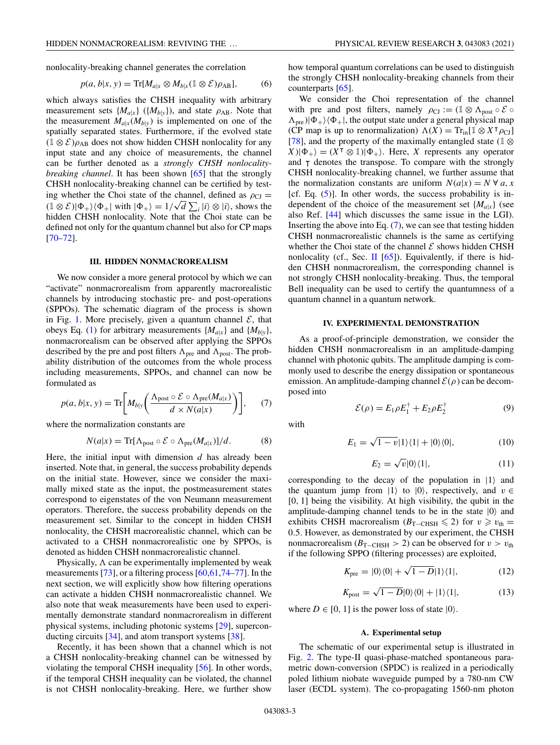<span id="page-2-0"></span>nonlocality-breaking channel generates the correlation

$$
p(a, b|x, y) = \text{Tr}[M_{a|x} \otimes M_{b|x}(\mathbb{1} \otimes \mathcal{E})\rho_{AB}], \quad (6)
$$

which always satisfies the CHSH inequality with arbitrary measurement sets  $\{M_{a|x}\}\ (\{M_{b|y}\})$ , and state  $\rho_{AB}$ . Note that the measurement  $M_{a|x}(M_{b|y})$  is implemented on one of the spatially separated states. Furthermore, if the evolved state  $(1 \otimes \mathcal{E})\rho_{AB}$  does not show hidden CHSH nonlocality for any input state and any choice of measurements, the channel can be further denoted as a *strongly CHSH nonlocalitybreaking channel*. It has been shown [\[65\]](#page-6-0) that the strongly CHSH nonlocality-breaking channel can be certified by testing whether the Choi state of the channel, defined as  $\rho_{\text{CJ}} =$  $(1 \otimes \mathcal{E})|\Phi_{+}\rangle\langle\Phi_{+}|$  with  $|\Phi_{+}\rangle = 1/\sqrt{d} \sum_{i} |i\rangle \otimes |i\rangle$ , shows the hidden CHSH nonlocality. Note that the Choi state can be defined not only for the quantum channel but also for CP maps  $[70 - 72]$ .

## **III. HIDDEN NONMACROREALISM**

We now consider a more general protocol by which we can "activate" nonmacrorealism from apparently macrorealistic channels by introducing stochastic pre- and post-operations (SPPOs). The schematic diagram of the process is shown in Fig. [1.](#page-1-0) More precisely, given a quantum channel  $\mathcal{E}$ , that obeys Eq. [\(1\)](#page-1-0) for arbitrary measurements  $\{M_{a|x}\}\$  and  $\{M_{b|y}\}\$ , nonmacrorealism can be observed after applying the SPPOs described by the pre and post filters  $\Lambda_{\text{pre}}$  and  $\Lambda_{\text{post}}$ . The probability distribution of the outcomes from the whole process including measurements, SPPOs, and channel can now be formulated as

$$
p(a, b|x, y) = \text{Tr}\bigg[M_{b|y}\bigg(\frac{\Lambda_{\text{post}} \circ \mathcal{E} \circ \Lambda_{\text{pre}}(M_{a|x})}{d \times N(a|x)}\bigg)\bigg],\qquad(7)
$$

where the normalization constants are

$$
N(a|x) = \text{Tr}[\Lambda_{\text{post}} \circ \mathcal{E} \circ \Lambda_{\text{pre}}(M_{a|x})]/d. \tag{8}
$$

Here, the initial input with dimension *d* has already been inserted. Note that, in general, the success probability depends on the initial state. However, since we consider the maximally mixed state as the input, the postmeasurement states correspond to eigenstates of the von Neumann measurement operators. Therefore, the success probability depends on the measurement set. Similar to the concept in hidden CHSH nonlocality, the CHSH macrorealistic channel, which can be activated to a CHSH nonmacrorealistic one by SPPOs, is denoted as hidden CHSH nonmacrorealistic channel.

Physically,  $\Lambda$  can be experimentally implemented by weak measurements [\[73\]](#page-6-0), or a filtering process [\[60,61,74–77\]](#page-6-0). In the next section, we will explicitly show how filtering operations can activate a hidden CHSH nonmacrorealistic channel. We also note that weak measurements have been used to experimentally demonstrate standard nonmacrorealism in different physical systems, including photonic systems [\[29\]](#page-5-0), superconducting circuits [\[34\]](#page-5-0), and atom transport systems [\[38\]](#page-5-0).

Recently, it has been shown that a channel which is not a CHSH nonlocality-breaking channel can be witnessed by violating the temporal CHSH inequality [\[56\]](#page-5-0). In other words, if the temporal CHSH inequality can be violated, the channel is not CHSH nonlocality-breaking. Here, we further show how temporal quantum correlations can be used to distinguish the strongly CHSH nonlocality-breaking channels from their counterparts [\[65\]](#page-6-0).

We consider the Choi representation of the channel with pre and post filters, namely  $\rho_{\text{CJ}} := (\mathbb{1} \otimes \Lambda_{\text{post}} \circ \mathcal{E} \circ$  $\Lambda_{\text{pre}}$ )| $\Phi_{+}$ ) $\langle \Phi_{+} |$ , the output state under a general physical map (CP map is up to renormalization)  $\Lambda(X) = \text{Tr}_{\text{in}}[\mathbb{1} \otimes X^{\text{T}} \rho_{\text{CJ}}]$ [\[78\]](#page-6-0), and the property of the maximally entangled state (1  $\otimes$  $(X|\Phi_+) = (X^\top \otimes 1)|\Phi_+\rangle$ . Here, *X* represents any operator and  $\tau$  denotes the transpose. To compare with the strongly CHSH nonlocality-breaking channel, we further assume that the normalization constants are uniform  $N(a|x) = N \forall a, x$ [cf. Eq. [\(5\)](#page-1-0)]. In other words, the success probability is independent of the choice of the measurement set  ${M_{a|x}}$  (see also Ref. [\[44\]](#page-5-0) which discusses the same issue in the LGI). Inserting the above into Eq.  $(7)$ , we can see that testing hidden CHSH nonmacrorealistic channels is the same as certifying whether the Choi state of the channel  $\mathcal E$  shows hidden CHSH nonlocality (cf., Sec. [II](#page-1-0)  $[65]$ ). Equivalently, if there is hidden CHSH nonmacrorealism, the corresponding channel is not strongly CHSH nonlocality-breaking. Thus, the temporal Bell inequality can be used to certify the quantumness of a quantum channel in a quantum network.

### **IV. EXPERIMENTAL DEMONSTRATION**

As a proof-of-principle demonstration, we consider the hidden CHSH nonmacrorealism in an amplitude-damping channel with photonic qubits. The amplitude damping is commonly used to describe the energy dissipation or spontaneous emission. An amplitude-damping channel  $\mathcal{E}(\rho)$  can be decomposed into

$$
\mathcal{E}(\rho) = E_1 \rho E_1^{\dagger} + E_2 \rho E_2^{\dagger} \tag{9}
$$

with

$$
E_1 = \sqrt{1 - v}|1\rangle\langle 1| + |0\rangle\langle 0|,\tag{10}
$$

$$
E_2 = \sqrt{v} |0\rangle\langle 1|,\tag{11}
$$

corresponding to the decay of the population in  $|1\rangle$  and the quantum jump from  $|1\rangle$  to  $|0\rangle$ , respectively, and  $v \in$ [0, 1] being the visibility. At high visibility, the qubit in the amplitude-damping channel tends to be in the state  $|0\rangle$  and exhibits CHSH macrorealism ( $B_{\text{T–CHSH}} \leq 2$ ) for  $v \geq v_{\text{th}} =$ 0.5. However, as demonstrated by our experiment, the CHSH nonmacrorealism ( $B_{\text{T–CHSH}} > 2$ ) can be observed for  $v > v_{\text{th}}$ if the following SPPO (filtering processes) are exploited,

$$
K_{\text{pre}} = |0\rangle\langle 0| + \sqrt{1 - D}|1\rangle\langle 1|,\tag{12}
$$

$$
K_{\text{post}} = \sqrt{1 - D}|0\rangle\langle 0| + |1\rangle\langle 1|,\tag{13}
$$

where  $D \in [0, 1]$  is the power loss of state  $|0\rangle$ .

## **A. Experimental setup**

The schematic of our experimental setup is illustrated in Fig. [2.](#page-3-0) The type-II quasi-phase-matched spontaneous parametric down-conversion (SPDC) is realized in a periodically poled lithium niobate waveguide pumped by a 780-nm CW laser (ECDL system). The co-propagating 1560-nm photon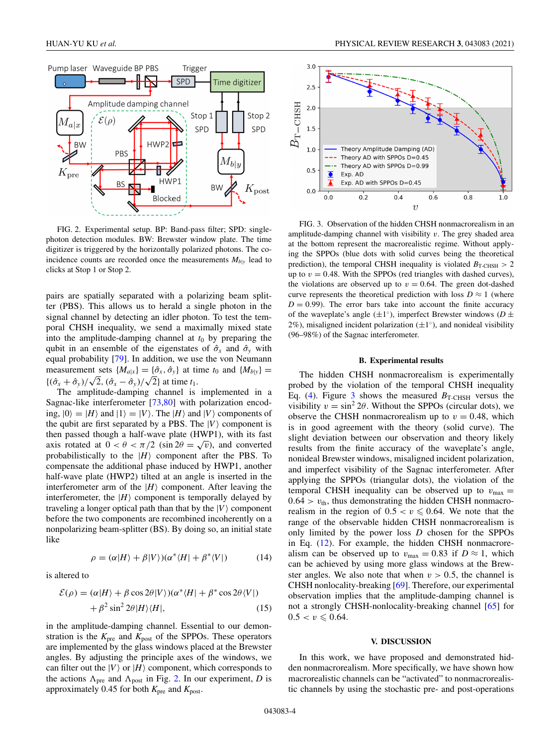<span id="page-3-0"></span>

FIG. 2. Experimental setup. BP: Band-pass filter; SPD: singlephoton detection modules. BW: Brewster window plate. The time digitizer is triggered by the horizontally polarized photons. The coincidence counts are recorded once the measurements  $M_{b|y}$  lead to clicks at Stop 1 or Stop 2.

pairs are spatially separated with a polarizing beam splitter (PBS). This allows us to herald a single photon in the signal channel by detecting an idler photon. To test the temporal CHSH inequality, we send a maximally mixed state into the amplitude-damping channel at  $t_0$  by preparing the qubit in an ensemble of the eigenstates of  $\hat{\sigma}_x$  and  $\hat{\sigma}_y$  with equal probability [\[79\]](#page-6-0). In addition, we use the von Neumann measurement sets  $\{M_{a|x}\}=\{\hat{\sigma}_x, \hat{\sigma}_y\}$  at time  $t_0$  and  $\{M_{b|y}\}=$  ${\langle (\hat{\sigma}_x + \hat{\sigma}_y)/\sqrt{2}, (\hat{\sigma}_x - \hat{\sigma}_y)/\sqrt{2} \rangle}$  at time  $t_1$ .

The amplitude-damping channel is implemented in a Sagnac-like interferometer [\[73,80\]](#page-6-0) with polarization encoding,  $|0\rangle = |H\rangle$  and  $|1\rangle = |V\rangle$ . The  $|H\rangle$  and  $|V\rangle$  components of the qubit are first separated by a PBS. The  $|V\rangle$  component is then passed though a half-wave plate (HWP1), with its fast axis rotated at  $0 < \theta < \pi/2$  (sin  $2\theta = \sqrt{v}$ ), and converted probabilistically to the  $|H\rangle$  component after the PBS. To compensate the additional phase induced by HWP1, another half-wave plate (HWP2) tilted at an angle is inserted in the interferometer arm of the  $|H\rangle$  component. After leaving the interferometer, the  $|H\rangle$  component is temporally delayed by traveling a longer optical path than that by the  $|V\rangle$  component before the two components are recombined incoherently on a nonpolarizing beam-splitter (BS). By doing so, an initial state like

$$
\rho = (\alpha |H\rangle + \beta |V\rangle)(\alpha^* \langle H| + \beta^* \langle V|)
$$
 (14)

is altered to

$$
\mathcal{E}(\rho) = (\alpha|H) + \beta \cos 2\theta |V\rangle)(\alpha^* \langle H| + \beta^* \cos 2\theta \langle V|)
$$
  
+ 
$$
\beta^2 \sin^2 2\theta |H\rangle \langle H|,
$$
 (15)

in the amplitude-damping channel. Essential to our demonstration is the  $K_{\text{pre}}$  and  $K_{\text{post}}$  of the SPPOs. These operators are implemented by the glass windows placed at the Brewster angles. By adjusting the principle axes of the windows, we can filter out the  $|V\rangle$  or  $|H\rangle$  component, which corresponds to the actions  $\Lambda_{\text{pre}}$  and  $\Lambda_{\text{post}}$  in Fig. 2. In our experiment, *D* is approximately 0.45 for both *K*pre and *K*post.



FIG. 3. Observation of the hidden CHSH nonmacrorealism in an amplitude-damping channel with visibility *v*. The grey shaded area at the bottom represent the macrorealistic regime. Without applying the SPPOs (blue dots with solid curves being the theoretical prediction), the temporal CHSH inequality is violated  $B_{\text{T-CHSH}} > 2$ up to  $v = 0.48$ . With the SPPOs (red triangles with dashed curves), the violations are observed up to  $v = 0.64$ . The green dot-dashed curve represents the theoretical prediction with loss  $D \approx 1$  (where  $D = 0.99$ . The error bars take into account the finite accuracy of the waveplate's angle  $(\pm 1^\circ)$ , imperfect Brewster windows ( $D \pm$ 2%), misaligned incident polarization  $(\pm 1°)$ , and nonideal visibility (96–98%) of the Sagnac interferometer.

### **B. Experimental results**

The hidden CHSH nonmacrorealism is experimentally probed by the violation of the temporal CHSH inequality Eq. [\(4\)](#page-1-0). Figure 3 shows the measured  $B_{\text{T-CHSH}}$  versus the visibility  $v = \sin^2 2\theta$ . Without the SPPOs (circular dots), we observe the CHSH nonmacrorealism up to  $v = 0.48$ , which is in good agreement with the theory (solid curve). The slight deviation between our observation and theory likely results from the finite accuracy of the waveplate's angle, nonideal Brewster windows, misaligned incident polarization, and imperfect visibility of the Sagnac interferometer. After applying the SPPOs (triangular dots), the violation of the temporal CHSH inequality can be observed up to  $v_{\text{max}} =$  $0.64 > v_{\text{th}}$ , thus demonstrating the hidden CHSH nonmacrorealism in the region of  $0.5 < v \le 0.64$ . We note that the range of the observable hidden CHSH nonmacrorealism is only limited by the power loss *D* chosen for the SPPOs in Eq. [\(12\)](#page-2-0). For example, the hidden CHSH nonmacrorealism can be observed up to  $v_{\text{max}} = 0.83$  if  $D \approx 1$ , which can be achieved by using more glass windows at the Brewster angles. We also note that when  $v > 0.5$ , the channel is CHSH nonlocality-breaking [\[69\]](#page-6-0). Therefore, our experimental observation implies that the amplitude-damping channel is not a strongly CHSH-nonlocality-breaking channel [\[65\]](#page-6-0) for  $0.5 < v \leq 0.64$ .

### **V. DISCUSSION**

In this work, we have proposed and demonstrated hidden nonmacrorealism. More specifically, we have shown how macrorealistic channels can be "activated" to nonmacrorealistic channels by using the stochastic pre- and post-operations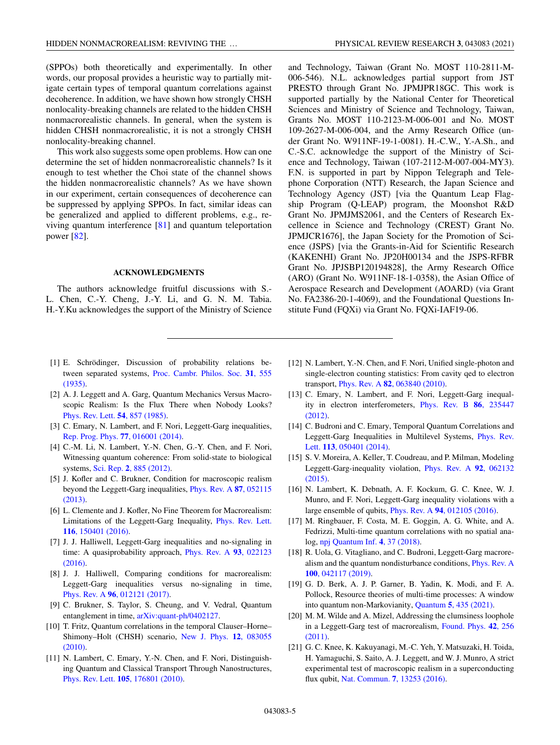<span id="page-4-0"></span>(SPPOs) both theoretically and experimentally. In other words, our proposal provides a heuristic way to partially mitigate certain types of temporal quantum correlations against decoherence. In addition, we have shown how strongly CHSH nonlocality-breaking channels are related to the hidden CHSH nonmacrorealistic channels. In general, when the system is hidden CHSH nonmacrorealistic, it is not a strongly CHSH nonlocality-breaking channel.

This work also suggests some open problems. How can one determine the set of hidden nonmacrorealistic channels? Is it enough to test whether the Choi state of the channel shows the hidden nonmacrorealistic channels? As we have shown in our experiment, certain consequences of decoherence can be suppressed by applying SPPOs. In fact, similar ideas can be generalized and applied to different problems, e.g., reviving quantum interference [\[81\]](#page-6-0) and quantum teleportation power [\[82\]](#page-6-0).

### **ACKNOWLEDGMENTS**

The authors acknowledge fruitful discussions with S.- L. Chen, C.-Y. Cheng, J.-Y. Li, and G. N. M. Tabia. H.-Y.Ku acknowledges the support of the Ministry of Science

- [1] E. Schrödinger, Discussion of probability relations between separated systems, [Proc. Cambr. Philos. Soc.](https://doi.org/10.1017/S0305004100013554) **31**, 555 (1935).
- [2] A. J. Leggett and A. Garg, Quantum Mechanics Versus Macroscopic Realism: Is the Flux There when Nobody Looks? [Phys. Rev. Lett.](https://doi.org/10.1103/PhysRevLett.54.857) **54**, 857 (1985).
- [3] C. Emary, N. Lambert, and F. Nori, Leggett-Garg inequalities, [Rep. Prog. Phys.](https://doi.org/10.1088/0034-4885/77/1/016001) **77**, 016001 (2014).
- [4] C.-M. Li, N. Lambert, Y.-N. Chen, G.-Y. Chen, and F. Nori, Witnessing quantum coherence: From solid-state to biological systems, Sci. Rep. **2**[, 885 \(2012\).](https://doi.org/10.1038/srep00885)
- [5] J. Kofler and C. Brukner, Condition for macroscopic realism [beyond the Leggett-Garg inequalities,](https://doi.org/10.1103/PhysRevA.87.052115) Phys. Rev. A **87**, 052115 (2013).
- [6] L. Clemente and J. Kofler, No Fine Theorem for Macrorealism: [Limitations of the Leggett-Garg Inequality,](https://doi.org/10.1103/PhysRevLett.116.150401) Phys. Rev. Lett. **116**, 150401 (2016).
- [7] J. J. Halliwell, Leggett-Garg inequalities and no-signaling in [time: A quasiprobability approach,](https://doi.org/10.1103/PhysRevA.93.022123) Phys. Rev. A **93**, 022123 (2016).
- [8] J. J. Halliwell, Comparing conditions for macrorealism: Leggett-Garg inequalities versus no-signaling in time, Phys. Rev. A **96**[, 012121 \(2017\).](https://doi.org/10.1103/PhysRevA.96.012121)
- [9] C. Brukner, S. Taylor, S. Cheung, and V. Vedral, Quantum entanglement in time, [arXiv:quant-ph/0402127.](http://arxiv.org/abs/arXiv:quant-ph/0402127)
- [10] T. Fritz, Quantum correlations in the temporal Clauser–Horne– [Shimony–Holt \(CHSH\) scenario,](https://doi.org/10.1088/1367-2630/12/8/083055) New J. Phys. **12**, 083055 (2010).
- [11] N. Lambert, C. Emary, Y.-N. Chen, and F. Nori, Distinguishing Quantum and Classical Transport Through Nanostructures, Phys. Rev. Lett. **105**[, 176801 \(2010\).](https://doi.org/10.1103/PhysRevLett.105.176801)

and Technology, Taiwan (Grant No. MOST 110-2811-M-006-546). N.L. acknowledges partial support from JST PRESTO through Grant No. JPMJPR18GC. This work is supported partially by the National Center for Theoretical Sciences and Ministry of Science and Technology, Taiwan, Grants No. MOST 110-2123-M-006-001 and No. MOST 109-2627-M-006-004, and the Army Research Office (under Grant No. W911NF-19-1-0081). H.-C.W., Y.-A.Sh., and C.-S.C. acknowledge the support of the Ministry of Science and Technology, Taiwan (107-2112-M-007-004-MY3). F.N. is supported in part by Nippon Telegraph and Telephone Corporation (NTT) Research, the Japan Science and Technology Agency (JST) [via the Quantum Leap Flagship Program (Q-LEAP) program, the Moonshot R&D Grant No. JPMJMS2061, and the Centers of Research Excellence in Science and Technology (CREST) Grant No. JPMJCR1676], the Japan Society for the Promotion of Science (JSPS) [via the Grants-in-Aid for Scientific Research (KAKENHI) Grant No. JP20H00134 and the JSPS-RFBR Grant No. JPJSBP120194828], the Army Research Office (ARO) (Grant No. W911NF-18-1-0358), the Asian Office of Aerospace Research and Development (AOARD) (via Grant No. FA2386-20-1-4069), and the Foundational Questions Institute Fund (FQXi) via Grant No. FQXi-IAF19-06.

- [12] N. Lambert, Y.-N. Chen, and F. Nori, Unified single-photon and single-electron counting statistics: From cavity qed to electron transport, Phys. Rev. A **82**[, 063840 \(2010\).](https://doi.org/10.1103/PhysRevA.82.063840)
- [13] C. Emary, N. Lambert, and F. Nori, Leggett-Garg inequal[ity in electron interferometers,](https://doi.org/10.1103/PhysRevB.86.235447) Phys. Rev. B **86**, 235447 (2012).
- [14] C. Budroni and C. Emary, Temporal Quantum Correlations and [Leggett-Garg Inequalities in Multilevel Systems,](https://doi.org/10.1103/PhysRevLett.113.050401) Phys. Rev. Lett. **113**, 050401 (2014).
- [15] S. V. Moreira, A. Keller, T. Coudreau, and P. Milman, Modeling [Leggett-Garg-inequality violation,](https://doi.org/10.1103/PhysRevA.92.062132) Phys. Rev. A **92**, 062132 (2015).
- [16] N. Lambert, K. Debnath, A. F. Kockum, G. C. Knee, W. J. Munro, and F. Nori, Leggett-Garg inequality violations with a large ensemble of qubits, Phys. Rev. A **94**[, 012105 \(2016\).](https://doi.org/10.1103/PhysRevA.94.012105)
- [17] M. Ringbauer, F. Costa, M. E. Goggin, A. G. White, and A. Fedrizzi, Multi-time quantum correlations with no spatial analog, [npj Quantum Inf.](https://doi.org/10.1038/s41534-018-0086-y) **4**, 37 (2018).
- [18] R. Uola, G. Vitagliano, and C. Budroni, Leggett-Garg macrore[alism and the quantum nondisturbance conditions,](https://doi.org/10.1103/PhysRevA.100.042117) Phys. Rev. A **100**, 042117 (2019).
- [19] G. D. Berk, A. J. P. Garner, B. Yadin, K. Modi, and F. A. Pollock, Resource theories of multi-time processes: A window into quantum non-Markovianity, Quantum **5**[, 435 \(2021\).](https://doi.org/10.22331/q-2021-04-20-435)
- [20] M. M. Wilde and A. Mizel, Addressing the clumsiness loophole [in a Leggett-Garg test of macrorealism,](https://doi.org/10.1007/s10701-011-9598-4) Found. Phys. **42**, 256 (2011).
- [21] G. C. Knee, K. Kakuyanagi, M.-C. Yeh, Y. Matsuzaki, H. Toida, H. Yamaguchi, S. Saito, A. J. Leggett, and W. J. Munro, A strict experimental test of macroscopic realism in a superconducting flux qubit, Nat. Commun. **7**[, 13253 \(2016\).](https://doi.org/10.1038/ncomms13253)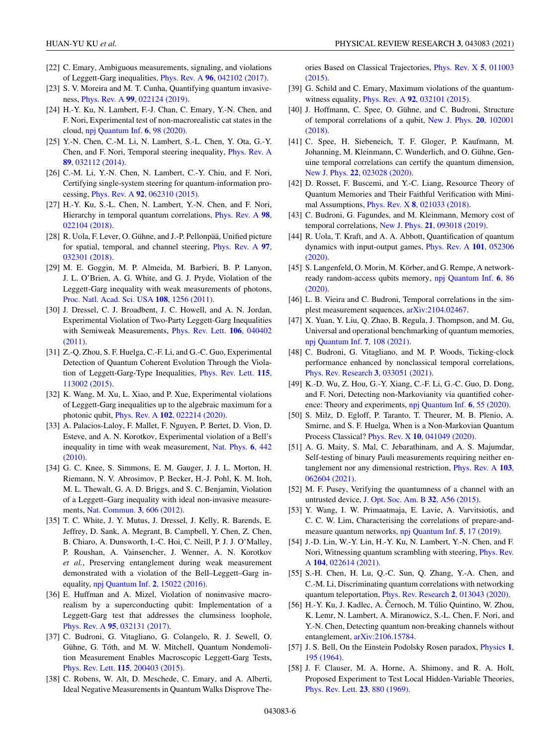- <span id="page-5-0"></span>[22] C. Emary, Ambiguous measurements, signaling, and violations of Leggett-Garg inequalities, Phys. Rev. A **96**[, 042102 \(2017\).](https://doi.org/10.1103/PhysRevA.96.042102)
- [23] S. V. Moreira and M. T. Cunha, Quantifying quantum invasiveness, Phys. Rev. A **99**[, 022124 \(2019\).](https://doi.org/10.1103/PhysRevA.99.022124)
- [24] H.-Y. Ku, N. Lambert, F.-J. Chan, C. Emary, Y.-N. Chen, and F. Nori, Experimental test of non-macrorealistic cat states in the cloud, [npj Quantum Inf.](https://doi.org/10.1038/s41534-020-00321-x) **6**, 98 (2020).
- [25] Y.-N. Chen, C.-M. Li, N. Lambert, S.-L. Chen, Y. Ota, G.-Y. [Chen, and F. Nori, Temporal steering inequality,](https://doi.org/10.1103/PhysRevA.89.032112) Phys. Rev. A **89**, 032112 (2014).
- [26] C.-M. Li, Y.-N. Chen, N. Lambert, C.-Y. Chiu, and F. Nori, Certifying single-system steering for quantum-information processing, Phys. Rev. A **92**[, 062310 \(2015\).](https://doi.org/10.1103/PhysRevA.92.062310)
- [27] H.-Y. Ku, S.-L. Chen, N. Lambert, Y.-N. Chen, and F. Nori, [Hierarchy in temporal quantum correlations,](https://doi.org/10.1103/PhysRevA.98.022104) Phys. Rev. A **98**, 022104 (2018).
- [28] R. Uola, F. Lever, O. Gühne, and J.-P. Pellonpää, Unified picture [for spatial, temporal, and channel steering,](https://doi.org/10.1103/PhysRevA.97.032301) Phys. Rev. A **97**, 032301 (2018).
- [29] M. E. Goggin, M. P. Almeida, M. Barbieri, B. P. Lanyon, J. L. O'Brien, A. G. White, and G. J. Pryde, Violation of the Leggett-Garg inequality with weak measurements of photons, [Proc. Natl. Acad. Sci. USA](https://doi.org/10.1073/pnas.1005774108) **108**, 1256 (2011).
- [30] J. Dressel, C. J. Broadbent, J. C. Howell, and A. N. Jordan, Experimental Violation of Two-Party Leggett-Garg Inequalities [with Semiweak Measurements,](https://doi.org/10.1103/PhysRevLett.106.040402) Phys. Rev. Lett. **106**, 040402 (2011).
- [31] Z.-Q. Zhou, S. F. Huelga, C.-F. Li, and G.-C. Guo, Experimental Detection of Quantum Coherent Evolution Through the Viola[tion of Leggett-Garg-Type Inequalities,](https://doi.org/10.1103/PhysRevLett.115.113002) Phys. Rev. Lett. **115**, 113002 (2015).
- [32] K. Wang, M. Xu, L. Xiao, and P. Xue, Experimental violations of Leggett-Garg inequalities up to the algebraic maximum for a photonic qubit, Phys. Rev. A **102**[, 022214 \(2020\).](https://doi.org/10.1103/PhysRevA.102.022214)
- [33] A. Palacios-Laloy, F. Mallet, F. Nguyen, P. Bertet, D. Vion, D. Esteve, and A. N. Korotkov, Experimental violation of a Bell's [inequality in time with weak measurement,](https://doi.org/10.1038/nphys1641) Nat. Phys. **6**, 442 (2010).
- [34] G. C. Knee, S. Simmons, E. M. Gauger, J. J. L. Morton, H. Riemann, N. V. Abrosimov, P. Becker, H.-J. Pohl, K. M. Itoh, M. L. Thewalt, G. A. D. Briggs, and S. C. Benjamin, Violation of a Leggett–Garg inequality with ideal non-invasive measurements, [Nat. Commun.](https://doi.org/10.1038/ncomms1614) **3**, 606 (2012).
- [35] T. C. White, J. Y. Mutus, J. Dressel, J. Kelly, R. Barends, E. Jeffrey, D. Sank, A. Megrant, B. Campbell, Y. Chen, Z. Chen, B. Chiaro, A. Dunsworth, I.-C. Hoi, C. Neill, P. J. J. O'Malley, P. Roushan, A. Vainsencher, J. Wenner, A. N. Korotkov *et al.*, Preserving entanglement during weak measurement demonstrated with a violation of the Bell–Leggett–Garg inequality, [npj Quantum Inf.](https://doi.org/10.1038/npjqi.2015.22) **2**, 15022 (2016).
- [36] E. Huffman and A. Mizel, Violation of noninvasive macrorealism by a superconducting qubit: Implementation of a Leggett-Garg test that addresses the clumsiness loophole, Phys. Rev. A **95**[, 032131 \(2017\).](https://doi.org/10.1103/PhysRevA.95.032131)
- [37] C. Budroni, G. Vitagliano, G. Colangelo, R. J. Sewell, O. Gühne, G. Tóth, and M. W. Mitchell, Quantum Nondemolition Measurement Enables Macroscopic Leggett-Garg Tests, Phys. Rev. Lett. **115**[, 200403 \(2015\).](https://doi.org/10.1103/PhysRevLett.115.200403)
- [38] C. Robens, W. Alt, D. Meschede, C. Emary, and A. Alberti, Ideal Negative Measurements in Quantum Walks Disprove The-

[ories Based on Classical Trajectories,](https://doi.org/10.1103/PhysRevX.5.011003) Phys. Rev. X **5**, 011003 (2015).

- [39] G. Schild and C. Emary, Maximum violations of the quantumwitness equality, Phys. Rev. A **92**[, 032101 \(2015\).](https://doi.org/10.1103/PhysRevA.92.032101)
- [40] J. Hoffmann, C. Spee, O. Gühne, and C. Budroni, Structure [of temporal correlations of a qubit,](https://doi.org/10.1088/1367-2630/aae87f) New J. Phys. **20**, 102001 (2018).
- [41] C. Spee, H. Siebeneich, T. F. Gloger, P. Kaufmann, M. Johanning, M. Kleinmann, C. Wunderlich, and O. Gühne, Genuine temporal correlations can certify the quantum dimension, New J. Phys. **22**[, 023028 \(2020\).](https://doi.org/10.1088/1367-2630/ab6d42)
- [42] D. Rosset, F. Buscemi, and Y.-C. Liang, Resource Theory of Quantum Memories and Their Faithful Verification with Minimal Assumptions, Phys. Rev. X **8**[, 021033 \(2018\).](https://doi.org/10.1103/PhysRevX.8.021033)
- [43] C. Budroni, G. Fagundes, and M. Kleinmann, Memory cost of temporal correlations, New J. Phys. **21**[, 093018 \(2019\).](https://doi.org/10.1088/1367-2630/ab3cb4)
- [44] R. Uola, T. Kraft, and A. A. Abbott, Quantification of quantum [dynamics with input-output games,](https://doi.org/10.1103/PhysRevA.101.052306) Phys. Rev. A **101**, 052306 (2020).
- [45] S. Langenfeld, O. Morin, M. Körber, and G. Rempe, A network[ready random-access qubits memory,](https://doi.org/10.1038/s41534-020-00316-8) npj Quantum Inf. **6**, 86 (2020).
- [46] L. B. Vieira and C. Budroni, Temporal correlations in the simplest measurement sequences, [arXiv:2104.02467.](http://arxiv.org/abs/arXiv:2104.02467)
- [47] X. Yuan, Y. Liu, Q. Zhao, B. Regula, J. Thompson, and M. Gu, Universal and operational benchmarking of quantum memories, [npj Quantum Inf.](https://doi.org/10.1038/s41534-021-00444-9) **7**, 108 (2021).
- [48] C. Budroni, G. Vitagliano, and M. P. Woods, Ticking-clock performance enhanced by nonclassical temporal correlations, [Phys. Rev. Research](https://doi.org/10.1103/PhysRevResearch.3.033051) **3**, 033051 (2021).
- [49] K.-D. Wu, Z. Hou, G.-Y. Xiang, C.-F. Li, G.-C. Guo, D. Dong, and F. Nori, Detecting non-Markovianity via quantified coherence: Theory and experiments, [npj Quantum Inf.](https://doi.org/10.1038/s41534-020-0283-3) **6**, 55 (2020).
- [50] S. Milz, D. Egloff, P. Taranto, T. Theurer, M. B. Plenio, A. Smirne, and S. F. Huelga, When is a Non-Markovian Quantum Process Classical? Phys. Rev. X **10**[, 041049 \(2020\).](https://doi.org/10.1103/PhysRevX.10.041049)
- [51] A. G. Maity, S. Mal, C. Jebarathinam, and A. S. Majumdar, Self-testing of binary Pauli measurements requiring neither en[tanglement nor any dimensional restriction,](https://doi.org/10.1103/PhysRevA.103.062604) Phys. Rev. A **103**, 062604 (2021).
- [52] M. F. Pusey, Verifying the quantumness of a channel with an untrusted device, [J. Opt. Soc. Am. B](https://doi.org/10.1364/JOSAB.32.000A56) **32**, A56 (2015).
- [53] Y. Wang, I. W. Primaatmaja, E. Lavie, A. Varvitsiotis, and C. C. W. Lim, Characterising the correlations of prepare-andmeasure quantum networks, [npj Quantum Inf.](https://doi.org/10.1038/s41534-019-0133-3) **5**, 17 (2019).
- [54] J.-D. Lin, W.-Y. Lin, H.-Y. Ku, N. Lambert, Y.-N. Chen, and F. [Nori, Witnessing quantum scrambling with steering,](https://doi.org/10.1103/PhysRevA.104.022614) Phys. Rev. A **104**, 022614 (2021).
- [55] S.-H. Chen, H. Lu, Q.-C. Sun, Q. Zhang, Y.-A. Chen, and C.-M. Li, Discriminating quantum correlations with networking quantum teleportation, [Phys. Rev. Research](https://doi.org/10.1103/PhysRevResearch.2.013043) **2**, 013043 (2020).
- [56] H.-Y. Ku, J. Kadlec, A. Cernoch, M. Túlio Quintino, W. Zhou, K. Lemr, N. Lambert, A. Miranowicz, S.-L. Chen, F. Nori, and Y.-N. Chen, Detecting quantum non-breaking channels without entanglement, [arXiv:2106.15784.](http://arxiv.org/abs/arXiv:2106.15784)
- [57] [J. S. Bell, On the Einstein Podolsky Rosen paradox,](https://doi.org/10.1103/PhysicsPhysiqueFizika.1.195) Physics **1**, 195 (1964).
- [58] J. F. Clauser, M. A. Horne, A. Shimony, and R. A. Holt, Proposed Experiment to Test Local Hidden-Variable Theories, [Phys. Rev. Lett.](https://doi.org/10.1103/PhysRevLett.23.880) **23**, 880 (1969).